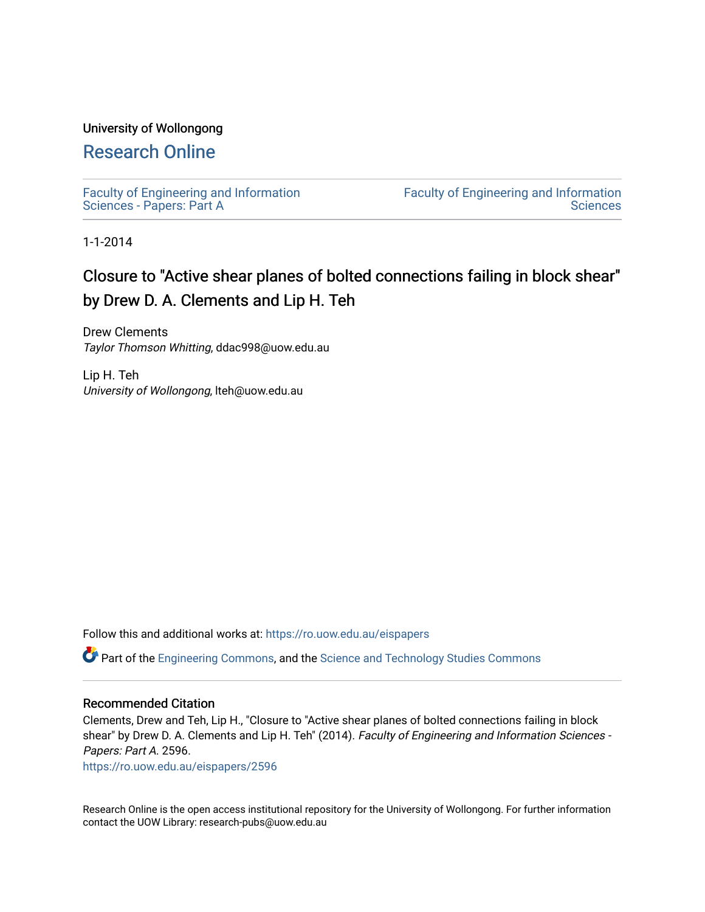### University of Wollongong

# [Research Online](https://ro.uow.edu.au/)

[Faculty of Engineering and Information](https://ro.uow.edu.au/eispapers)  [Sciences - Papers: Part A](https://ro.uow.edu.au/eispapers) 

[Faculty of Engineering and Information](https://ro.uow.edu.au/eis)  **Sciences** 

1-1-2014

# Closure to "Active shear planes of bolted connections failing in block shear" by Drew D. A. Clements and Lip H. Teh

Drew Clements Taylor Thomson Whitting, ddac998@uow.edu.au

Lip H. Teh University of Wollongong, lteh@uow.edu.au

Follow this and additional works at: [https://ro.uow.edu.au/eispapers](https://ro.uow.edu.au/eispapers?utm_source=ro.uow.edu.au%2Feispapers%2F2596&utm_medium=PDF&utm_campaign=PDFCoverPages)

Part of the [Engineering Commons](http://network.bepress.com/hgg/discipline/217?utm_source=ro.uow.edu.au%2Feispapers%2F2596&utm_medium=PDF&utm_campaign=PDFCoverPages), and the [Science and Technology Studies Commons](http://network.bepress.com/hgg/discipline/435?utm_source=ro.uow.edu.au%2Feispapers%2F2596&utm_medium=PDF&utm_campaign=PDFCoverPages)

#### Recommended Citation

Clements, Drew and Teh, Lip H., "Closure to "Active shear planes of bolted connections failing in block shear" by Drew D. A. Clements and Lip H. Teh" (2014). Faculty of Engineering and Information Sciences -Papers: Part A. 2596.

[https://ro.uow.edu.au/eispapers/2596](https://ro.uow.edu.au/eispapers/2596?utm_source=ro.uow.edu.au%2Feispapers%2F2596&utm_medium=PDF&utm_campaign=PDFCoverPages) 

Research Online is the open access institutional repository for the University of Wollongong. For further information contact the UOW Library: research-pubs@uow.edu.au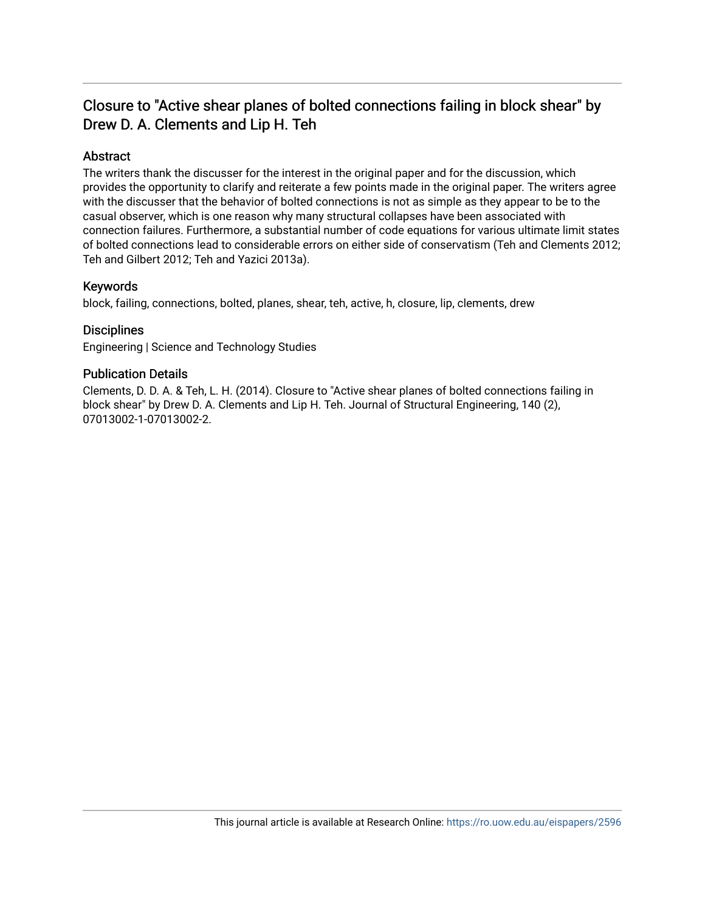# Closure to "Active shear planes of bolted connections failing in block shear" by Drew D. A. Clements and Lip H. Teh

# Abstract

The writers thank the discusser for the interest in the original paper and for the discussion, which provides the opportunity to clarify and reiterate a few points made in the original paper. The writers agree with the discusser that the behavior of bolted connections is not as simple as they appear to be to the casual observer, which is one reason why many structural collapses have been associated with connection failures. Furthermore, a substantial number of code equations for various ultimate limit states of bolted connections lead to considerable errors on either side of conservatism (Teh and Clements 2012; Teh and Gilbert 2012; Teh and Yazici 2013a).

## Keywords

block, failing, connections, bolted, planes, shear, teh, active, h, closure, lip, clements, drew

## **Disciplines**

Engineering | Science and Technology Studies

### Publication Details

Clements, D. D. A. & Teh, L. H. (2014). Closure to "Active shear planes of bolted connections failing in block shear" by Drew D. A. Clements and Lip H. Teh. Journal of Structural Engineering, 140 (2), 07013002-1-07013002-2.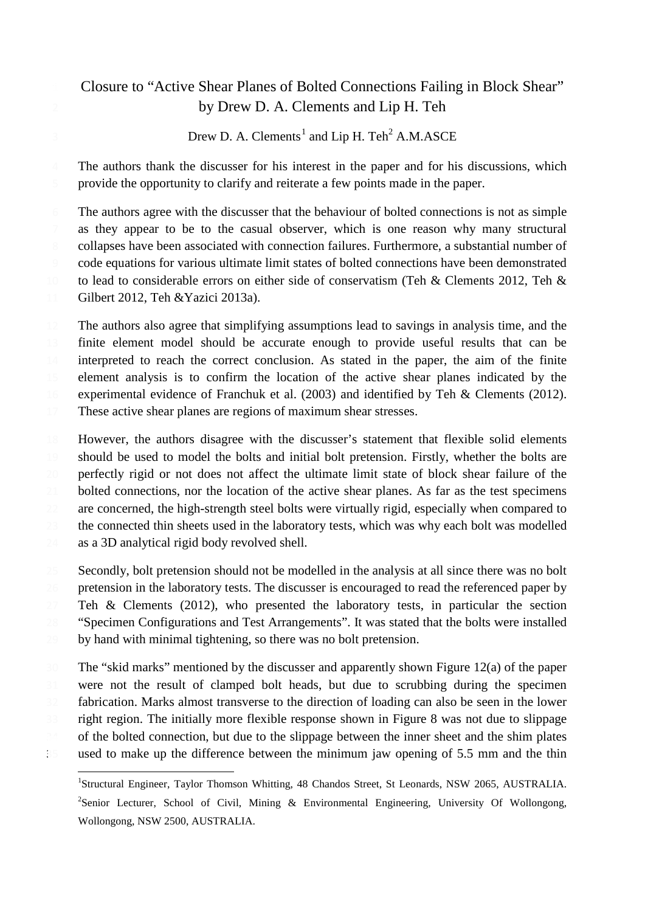# Closure to "Active Shear Planes of Bolted Connections Failing in Block Shear" by Drew D. A. Clements and Lip H. Teh

Drew D. A. Clements<sup>[1](#page-2-0)</sup> and Lip H. Teh<sup>2</sup> A.M.ASCE

 The authors thank the discusser for his interest in the paper and for his discussions, which provide the opportunity to clarify and reiterate a few points made in the paper.

The authors agree with the discusser that the behaviour of bolted connections is not as simple as they appear to be to the casual observer, which is one reason why many structural collapses have been associated with connection failures. Furthermore, a substantial number of code equations for various ultimate limit states of bolted connections have been demonstrated 10 to lead to considerable errors on either side of conservatism (Teh & Clements 2012, Teh & Gilbert 2012, Teh &Yazici 2013a).

 The authors also agree that simplifying assumptions lead to savings in analysis time, and the finite element model should be accurate enough to provide useful results that can be interpreted to reach the correct conclusion. As stated in the paper, the aim of the finite element analysis is to confirm the location of the active shear planes indicated by the experimental evidence of Franchuk et al. (2003) and identified by Teh & Clements (2012). These active shear planes are regions of maximum shear stresses.

 However, the authors disagree with the discusser's statement that flexible solid elements should be used to model the bolts and initial bolt pretension. Firstly, whether the bolts are perfectly rigid or not does not affect the ultimate limit state of block shear failure of the 21 bolted connections, nor the location of the active shear planes. As far as the test specimens 22 are concerned, the high-strength steel bolts were virtually rigid, especially when compared to the connected thin sheets used in the laboratory tests, which was why each bolt was modelled as a 3D analytical rigid body revolved shell.

25 Secondly, bolt pretension should not be modelled in the analysis at all since there was no bolt pretension in the laboratory tests. The discusser is encouraged to read the referenced paper by 27 Teh & Clements (2012), who presented the laboratory tests, in particular the section "Specimen Configurations and Test Arrangements". It was stated that the bolts were installed by hand with minimal tightening, so there was no bolt pretension.

 The "skid marks" mentioned by the discusser and apparently shown Figure 12(a) of the paper were not the result of clamped bolt heads, but due to scrubbing during the specimen fabrication. Marks almost transverse to the direction of loading can also be seen in the lower right region. The initially more flexible response shown in Figure 8 was not due to slippage of the bolted connection, but due to the slippage between the inner sheet and the shim plates used to make up the difference between the minimum jaw opening of 5.5 mm and the thin

<span id="page-2-0"></span> $\frac{1}{1}$ <sup>1</sup>Structural Engineer, Taylor Thomson Whitting, 48 Chandos Street, St Leonards, NSW 2065, AUSTRALIA. <sup>2</sup>Senior Lecturer, School of Civil, Mining & Environmental Engineering, University Of Wollongong, Wollongong, NSW 2500, AUSTRALIA.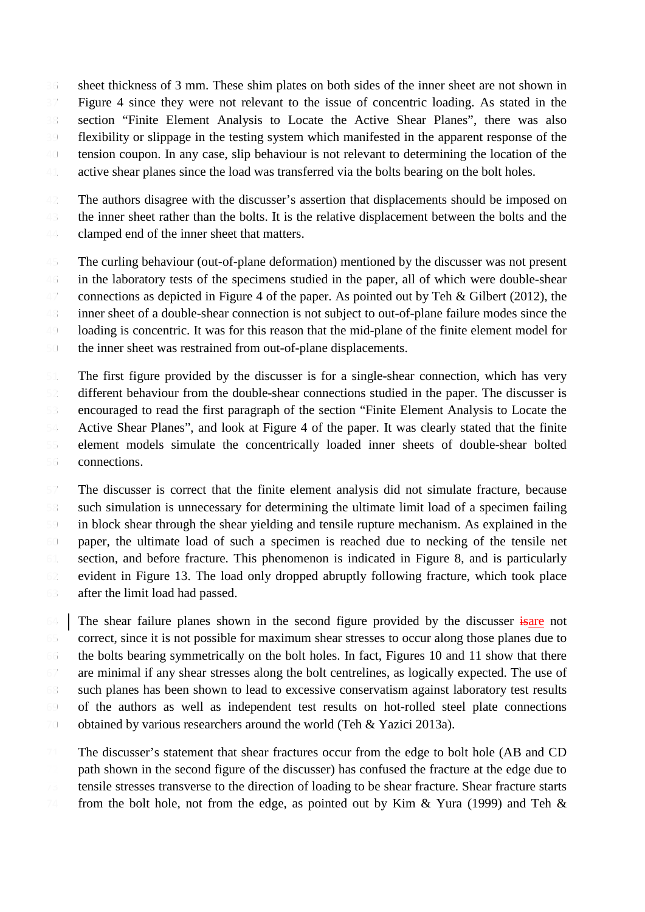sheet thickness of 3 mm. These shim plates on both sides of the inner sheet are not shown in Figure 4 since they were not relevant to the issue of concentric loading. As stated in the section "Finite Element Analysis to Locate the Active Shear Planes", there was also flexibility or slippage in the testing system which manifested in the apparent response of the tension coupon. In any case, slip behaviour is not relevant to determining the location of the 41 active shear planes since the load was transferred via the bolts bearing on the bolt holes.

 The authors disagree with the discusser's assertion that displacements should be imposed on the inner sheet rather than the bolts. It is the relative displacement between the bolts and the clamped end of the inner sheet that matters.

 The curling behaviour (out-of-plane deformation) mentioned by the discusser was not present in the laboratory tests of the specimens studied in the paper, all of which were double-shear 47 connections as depicted in Figure 4 of the paper. As pointed out by Teh & Gilbert (2012), the inner sheet of a double-shear connection is not subject to out-of-plane failure modes since the loading is concentric. It was for this reason that the mid-plane of the finite element model for the inner sheet was restrained from out-of-plane displacements.

 The first figure provided by the discusser is for a single-shear connection, which has very different behaviour from the double-shear connections studied in the paper. The discusser is encouraged to read the first paragraph of the section "Finite Element Analysis to Locate the Active Shear Planes", and look at Figure 4 of the paper. It was clearly stated that the finite element models simulate the concentrically loaded inner sheets of double-shear bolted connections.

 The discusser is correct that the finite element analysis did not simulate fracture, because such simulation is unnecessary for determining the ultimate limit load of a specimen failing in block shear through the shear yielding and tensile rupture mechanism. As explained in the paper, the ultimate load of such a specimen is reached due to necking of the tensile net section, and before fracture. This phenomenon is indicated in Figure 8, and is particularly evident in Figure 13. The load only dropped abruptly following fracture, which took place after the limit load had passed.

 The shear failure planes shown in the second figure provided by the discusser is not correct, since it is not possible for maximum shear stresses to occur along those planes due to the bolts bearing symmetrically on the bolt holes. In fact, Figures 10 and 11 show that there are minimal if any shear stresses along the bolt centrelines, as logically expected. The use of such planes has been shown to lead to excessive conservatism against laboratory test results of the authors as well as independent test results on hot-rolled steel plate connections obtained by various researchers around the world (Teh & Yazici 2013a).

71 The discusser's statement that shear fractures occur from the edge to bolt hole (AB and CD) path shown in the second figure of the discusser) has confused the fracture at the edge due to tensile stresses transverse to the direction of loading to be shear fracture. Shear fracture starts 74 from the bolt hole, not from the edge, as pointed out by Kim & Yura (1999) and Teh &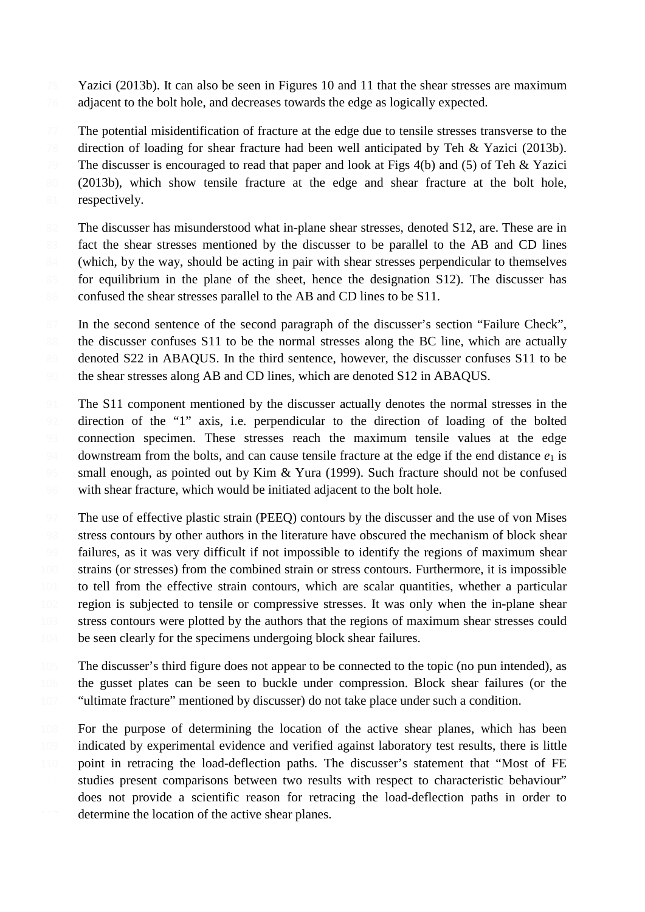75 Yazici (2013b). It can also be seen in Figures 10 and 11 that the shear stresses are maximum adjacent to the bolt hole, and decreases towards the edge as logically expected.

 The potential misidentification of fracture at the edge due to tensile stresses transverse to the direction of loading for shear fracture had been well anticipated by Teh & Yazici (2013b). 79 The discusser is encouraged to read that paper and look at Figs 4(b) and (5) of Teh & Yazici (2013b), which show tensile fracture at the edge and shear fracture at the bolt hole, 81 respectively.

82 The discusser has misunderstood what in-plane shear stresses, denoted S12, are. These are in 83 fact the shear stresses mentioned by the discusser to be parallel to the AB and CD lines (which, by the way, should be acting in pair with shear stresses perpendicular to themselves for equilibrium in the plane of the sheet, hence the designation S12). The discusser has 86 confused the shear stresses parallel to the AB and CD lines to be S11.

87 In the second sentence of the second paragraph of the discusser's section "Failure Check", the discusser confuses S11 to be the normal stresses along the BC line, which are actually 89 denoted S22 in ABAQUS. In the third sentence, however, the discusser confuses S11 to be the shear stresses along AB and CD lines, which are denoted S12 in ABAQUS.

- 91 The S11 component mentioned by the discusser actually denotes the normal stresses in the direction of the "1" axis, i.e. perpendicular to the direction of loading of the bolted connection specimen. These stresses reach the maximum tensile values at the edge 94 downstream from the bolts, and can cause tensile fracture at the edge if the end distance  $e_1$  is small enough, as pointed out by Kim & Yura (1999). Such fracture should not be confused with shear fracture, which would be initiated adjacent to the bolt hole.
- The use of effective plastic strain (PEEQ) contours by the discusser and the use of von Mises stress contours by other authors in the literature have obscured the mechanism of block shear failures, as it was very difficult if not impossible to identify the regions of maximum shear strains (or stresses) from the combined strain or stress contours. Furthermore, it is impossible to tell from the effective strain contours, which are scalar quantities, whether a particular region is subjected to tensile or compressive stresses. It was only when the in-plane shear stress contours were plotted by the authors that the regions of maximum shear stresses could 104 be seen clearly for the specimens undergoing block shear failures.
- The discusser's third figure does not appear to be connected to the topic (no pun intended), as the gusset plates can be seen to buckle under compression. Block shear failures (or the "ultimate fracture" mentioned by discusser) do not take place under such a condition.
- For the purpose of determining the location of the active shear planes, which has been indicated by experimental evidence and verified against laboratory test results, there is little point in retracing the load-deflection paths. The discusser's statement that "Most of FE studies present comparisons between two results with respect to characteristic behaviour" does not provide a scientific reason for retracing the load-deflection paths in order to determine the location of the active shear planes.